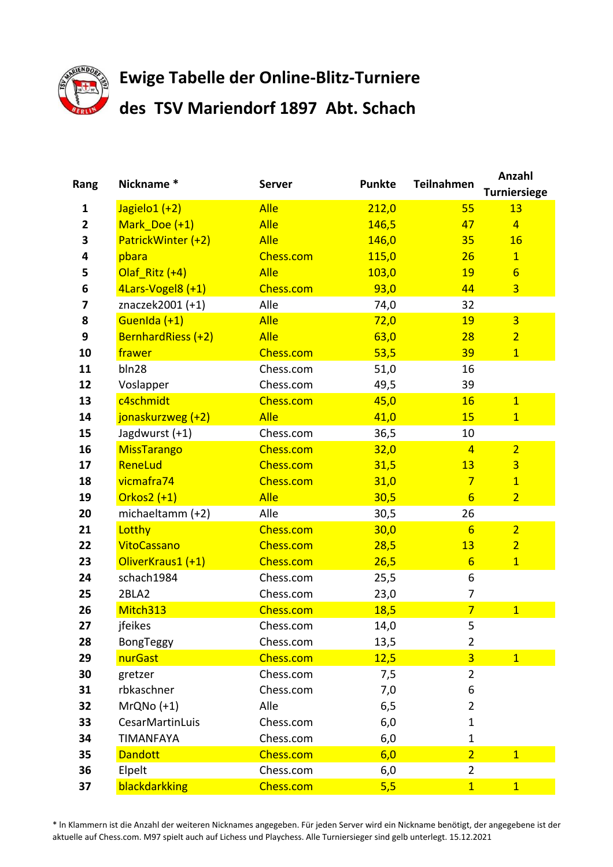

## **Ewige Tabelle der Online-Blitz-Turniere des TSV Mariendorf 1897 Abt. Schach**

| Rang           | Nickname*          | <b>Server</b> | <b>Punkte</b> | <b>Teilnahmen</b> | Anzahl<br><b>Turniersiege</b> |
|----------------|--------------------|---------------|---------------|-------------------|-------------------------------|
| 1              | Jagielo1 (+2)      | <b>Alle</b>   | 212,0         | 55                | 13                            |
| $\overline{2}$ | Mark Doe (+1)      | <b>Alle</b>   | 146,5         | 47                | $\overline{4}$                |
| 3              | PatrickWinter (+2) | <b>Alle</b>   | 146,0         | 35                | 16                            |
| 4              | pbara              | Chess.com     | 115,0         | 26                | $\overline{1}$                |
| 5              | Olaf Ritz (+4)     | <b>Alle</b>   | 103,0         | 19                | $6\overline{6}$               |
| 6              | 4Lars-Vogel8 (+1)  | Chess.com     | 93,0          | 44                | $\overline{3}$                |
| 7              | znaczek2001 (+1)   | Alle          | 74,0          | 32                |                               |
| 8              | GuenIda (+1)       | <b>Alle</b>   | 72,0          | 19                | $\overline{3}$                |
| 9              | BernhardRiess (+2) | <b>Alle</b>   | 63,0          | 28                | $\overline{2}$                |
| 10             | frawer             | Chess.com     | 53,5          | 39                | $\mathbf{1}$                  |
| 11             | bln28              | Chess.com     | 51,0          | 16                |                               |
| 12             | Voslapper          | Chess.com     | 49,5          | 39                |                               |
| 13             | c4schmidt          | Chess.com     | 45,0          | 16                | $\overline{1}$                |
| 14             | jonaskurzweg (+2)  | <b>Alle</b>   | 41,0          | 15                | $\mathbf{1}$                  |
| 15             | Jagdwurst (+1)     | Chess.com     | 36,5          | 10                |                               |
| 16             | <b>MissTarango</b> | Chess.com     | 32,0          | $\overline{4}$    | $\overline{2}$                |
| 17             | ReneLud            | Chess.com     | 31,5          | 13                | $\overline{3}$                |
| 18             | vicmafra74         | Chess.com     | 31,0          | $7\overline{}$    | $\overline{1}$                |
| 19             | Orkos $2 (+1)$     | <b>Alle</b>   | 30,5          | $6\overline{6}$   | $\overline{2}$                |
| 20             | michaeltamm (+2)   | Alle          | 30,5          | 26                |                               |
| 21             | Lotthy             | Chess.com     | 30,0          | $6\overline{6}$   | $\overline{2}$                |
| 22             | <b>VitoCassano</b> | Chess.com     | 28,5          | 13                | $\overline{2}$                |
| 23             | OliverKraus1 (+1)  | Chess.com     | 26,5          | $6\overline{6}$   | $\mathbf{1}$                  |
| 24             | schach1984         | Chess.com     | 25,5          | 6                 |                               |
| 25             | 2BLA2              | Chess.com     | 23,0          | 7                 |                               |
| 26             | Mitch313           | Chess.com     | 18,5          | $\overline{7}$    | $\overline{1}$                |
| 27             | jfeikes            | Chess.com     | 14,0          | 5                 |                               |
| 28             | BongTeggy          | Chess.com     | 13,5          | $\overline{2}$    |                               |
| 29             | nurGast            | Chess.com     | 12,5          | $\overline{3}$    | $\overline{1}$                |
| 30             | gretzer            | Chess.com     | 7,5           | $\overline{2}$    |                               |
| 31             | rbkaschner         | Chess.com     | 7,0           | 6                 |                               |
| 32             | $MrQNo (+1)$       | Alle          | 6, 5          | $\overline{2}$    |                               |
| 33             | CesarMartinLuis    | Chess.com     | 6,0           | $\mathbf{1}$      |                               |
| 34             | <b>TIMANFAYA</b>   | Chess.com     | 6,0           | $\mathbf{1}$      |                               |
| 35             | <b>Dandott</b>     | Chess.com     | 6,0           | $\overline{2}$    | 1                             |
| 36             | Elpelt             | Chess.com     | 6,0           | $\overline{2}$    |                               |
| 37             | blackdarkking      | Chess.com     | 5,5           | $\overline{1}$    | $\overline{1}$                |

\* ln Klammern ist die Anzahl der weiteren Nicknames angegeben. Für jeden Server wird ein Nickname benötigt, der angegebene ist der aktuelle auf Chess.com. M97 spielt auch auf Lichess und Playchess. Alle Turniersieger sind gelb unterlegt. 15.12.2021